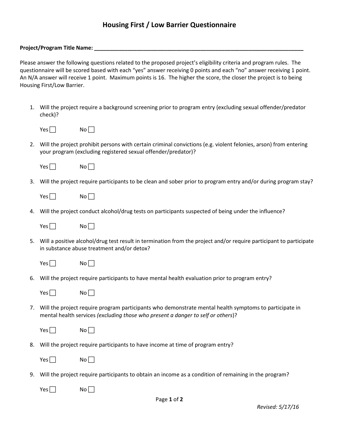## **Housing First / Low Barrier Questionnaire**

## **Project/Program Title Name: \_\_\_\_\_\_\_\_\_\_\_\_\_\_\_\_\_\_\_\_\_\_\_\_\_\_\_\_\_\_\_\_\_\_\_\_\_\_\_\_\_\_\_\_\_\_\_\_\_\_\_\_\_\_\_\_\_\_\_\_\_\_\_\_\_\_\_\_\_**

Please answer the following questions related to the proposed project's eligibility criteria and program rules. The questionnaire will be scored based with each "yes" answer receiving 0 points and each "no" answer receiving 1 point. An N/A answer will receive 1 point. Maximum points is 16. The higher the score, the closer the project is to being Housing First/Low Barrier.

1. Will the project require a background screening prior to program entry (excluding sexual offender/predator check)?

| Yesl | No l |
|------|------|
|------|------|

2. Will the project prohibit persons with certain criminal convictions (e.g. violent felonies, arson) from entering your program (excluding registered sexual offender/predator)?

| Yesl<br>No |
|------------|
|------------|

3. Will the project require participants to be clean and sober prior to program entry and/or during program stay?

| Yes l | No l |
|-------|------|
|-------|------|

4. Will the project conduct alcohol/drug tests on participants suspected of being under the influence?

| Yes l | No l |
|-------|------|
|-------|------|

5. Will a positive alcohol/drug test result in termination from the project and/or require participant to participate in substance abuse treatment and/or detox?

| ١ |  |  |
|---|--|--|
|---|--|--|

- $No<sub>1</sub>$
- 6. Will the project require participants to have mental health evaluation prior to program entry?

| <b>Yes</b> | Nol |
|------------|-----|
|------------|-----|

7. Will the project require program participants who demonstrate mental health symptoms to participate in mental health services *(excluding those who present a danger to self or others*)?

| γ    | N٥ |
|------|----|
| ٬ρς. |    |

8. Will the project require participants to have income at time of program entry?

| Υρς | N٥ |
|-----|----|
|-----|----|

9. Will the project require participants to obtain an income as a condition of remaining in the program?

 $Yes \Box$  No